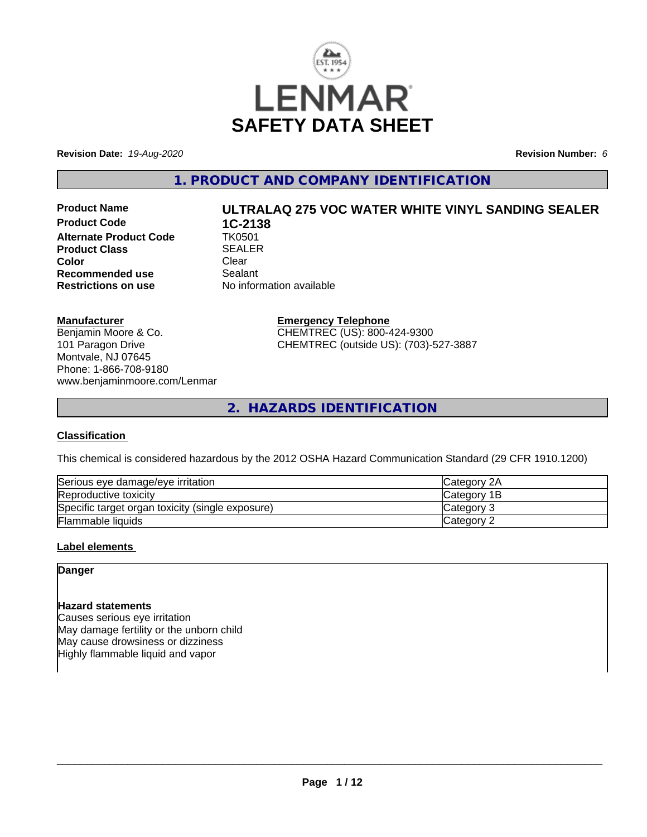

**Revision Date:** *19-Aug-2020* **Revision Number:** *6*

**1. PRODUCT AND COMPANY IDENTIFICATION**

**Product Code 1C-2138**<br>Alternate Product Code 1K0501 **Alternate Product Code Product Class SEALER**<br> **Color**<br>
Clear **Color** Clear Clear **Recommended use** Sealant<br> **Restrictions on use** No inform

# **Product Name ULTRALAQ 275 VOC WATER WHITE VINYL SANDING SEALER**

**Manufacturer**

Benjamin Moore & Co. 101 Paragon Drive Montvale, NJ 07645 Phone: 1-866-708-9180 www.benjaminmoore.com/Lenmar

#### **Emergency Telephone**

**No information available** 

CHEMTREC (US): 800-424-9300 CHEMTREC (outside US): (703)-527-3887

**2. HAZARDS IDENTIFICATION**

#### **Classification**

This chemical is considered hazardous by the 2012 OSHA Hazard Communication Standard (29 CFR 1910.1200)

| Serious eye damage/eye irritation                | <b>Category 2A</b> |
|--------------------------------------------------|--------------------|
| Reproductive toxicity                            | Category 1B        |
| Specific target organ toxicity (single exposure) | <b>ICategory 3</b> |
| <b>Flammable liquids</b>                         | <b>ICategory 2</b> |

#### **Label elements**

#### **Danger**

#### **Hazard statements**

Causes serious eye irritation May damage fertility or the unborn child May cause drowsiness or dizziness Highly flammable liquid and vapor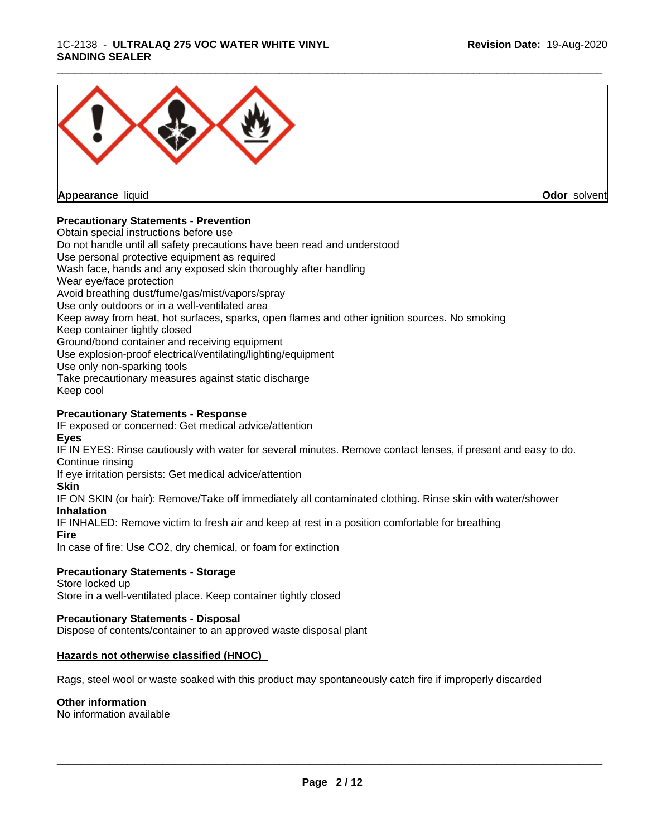#### 1C-2138 - **ULTRALAQ 275 VOC WATER WHITE VINYL SANDING SEALER**



**Appearance** liquid

**Odor** solvent

#### **Precautionary Statements - Prevention**

Obtain special instructions before use Do not handle until all safety precautions have been read and understood Use personal protective equipment as required Wash face, hands and any exposed skin thoroughly after handling Wear eye/face protection Avoid breathing dust/fume/gas/mist/vapors/spray Use only outdoors or in a well-ventilated area Keep away from heat, hot surfaces, sparks, open flames and other ignition sources. No smoking Keep container tightly closed Ground/bond container and receiving equipment Use explosion-proof electrical/ventilating/lighting/equipment Use only non-sparking tools Take precautionary measures against static discharge Keep cool

#### **Precautionary Statements - Response**

IF exposed or concerned: Get medical advice/attention **Eyes**

IF IN EYES: Rinse cautiously with water for several minutes. Remove contact lenses, if present and easy to do. Continue rinsing

If eye irritation persists: Get medical advice/attention

#### **Skin**

IF ON SKIN (or hair): Remove/Take off immediately all contaminated clothing. Rinse skin with water/shower **Inhalation**

IF INHALED: Remove victim to fresh air and keep at rest in a position comfortable for breathing

**Fire**

In case of fire: Use CO2, dry chemical, or foam for extinction

#### **Precautionary Statements - Storage**

Store locked up Store in a well-ventilated place. Keep container tightly closed

#### **Precautionary Statements - Disposal**

Dispose of contents/container to an approved waste disposal plant

#### **Hazards not otherwise classified (HNOC)**

Rags, steel wool or waste soaked with this product may spontaneously catch fire if improperly discarded

#### **Other information**

No information available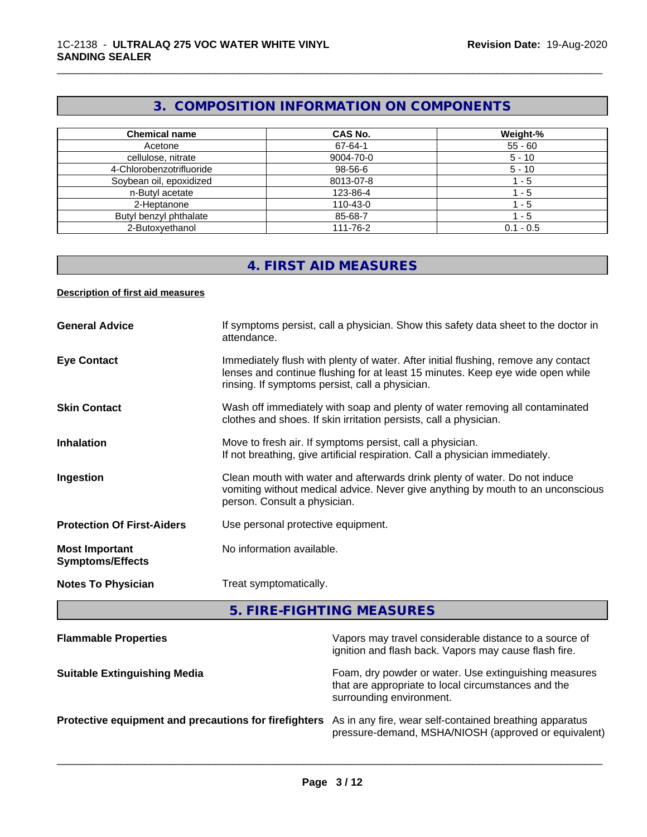#### **3. COMPOSITION INFORMATION ON COMPONENTS**

\_\_\_\_\_\_\_\_\_\_\_\_\_\_\_\_\_\_\_\_\_\_\_\_\_\_\_\_\_\_\_\_\_\_\_\_\_\_\_\_\_\_\_\_\_\_\_\_\_\_\_\_\_\_\_\_\_\_\_\_\_\_\_\_\_\_\_\_\_\_\_\_\_\_\_\_\_\_\_\_\_\_\_\_\_\_\_\_\_\_\_\_\_

| <b>Chemical name</b>     | CAS No.   | Weight-%    |
|--------------------------|-----------|-------------|
| Acetone                  | 67-64-1   | $55 - 60$   |
| cellulose, nitrate       | 9004-70-0 | $5 - 10$    |
| 4-Chlorobenzotrifluoride | 98-56-6   | $5 - 10$    |
| Soybean oil, epoxidized  | 8013-07-8 | - 5         |
| n-Butyl acetate          | 123-86-4  | - 5         |
| 2-Heptanone              | 110-43-0  | - 5         |
| Butyl benzyl phthalate   | 85-68-7   | - 5         |
| 2-Butoxyethanol          | 111-76-2  | $0.1 - 0.5$ |

#### **4. FIRST AID MEASURES**

#### **Description of first aid measures**

| <b>General Advice</b>                            | If symptoms persist, call a physician. Show this safety data sheet to the doctor in<br>attendance.                                                                                                                      |
|--------------------------------------------------|-------------------------------------------------------------------------------------------------------------------------------------------------------------------------------------------------------------------------|
| <b>Eye Contact</b>                               | Immediately flush with plenty of water. After initial flushing, remove any contact<br>lenses and continue flushing for at least 15 minutes. Keep eye wide open while<br>rinsing. If symptoms persist, call a physician. |
| <b>Skin Contact</b>                              | Wash off immediately with soap and plenty of water removing all contaminated<br>clothes and shoes. If skin irritation persists, call a physician.                                                                       |
| <b>Inhalation</b>                                | Move to fresh air. If symptoms persist, call a physician.<br>If not breathing, give artificial respiration. Call a physician immediately.                                                                               |
| Ingestion                                        | Clean mouth with water and afterwards drink plenty of water. Do not induce<br>vomiting without medical advice. Never give anything by mouth to an unconscious<br>person. Consult a physician.                           |
| <b>Protection Of First-Aiders</b>                | Use personal protective equipment.                                                                                                                                                                                      |
| <b>Most Important</b><br><b>Symptoms/Effects</b> | No information available.                                                                                                                                                                                               |
| <b>Notes To Physician</b>                        | Treat symptomatically.                                                                                                                                                                                                  |

**5. FIRE-FIGHTING MEASURES**

| <b>Flammable Properties</b>                           | Vapors may travel considerable distance to a source of<br>ignition and flash back. Vapors may cause flash fire.                          |
|-------------------------------------------------------|------------------------------------------------------------------------------------------------------------------------------------------|
| <b>Suitable Extinguishing Media</b>                   | Foam, dry powder or water. Use extinguishing measures<br>that are appropriate to local circumstances and the<br>surrounding environment. |
| Protective equipment and precautions for firefighters | As in any fire, wear self-contained breathing apparatus<br>pressure-demand, MSHA/NIOSH (approved or equivalent)                          |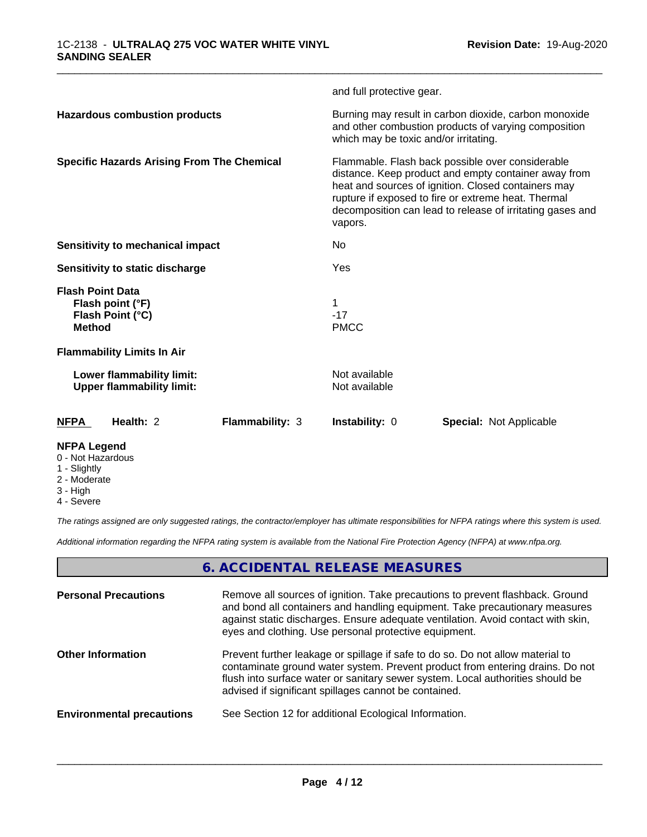|                                                                                  | and full protective gear.                                                                                                                                                                                                                                                                      |  |
|----------------------------------------------------------------------------------|------------------------------------------------------------------------------------------------------------------------------------------------------------------------------------------------------------------------------------------------------------------------------------------------|--|
| <b>Hazardous combustion products</b>                                             | Burning may result in carbon dioxide, carbon monoxide<br>and other combustion products of varying composition<br>which may be toxic and/or irritating.                                                                                                                                         |  |
| <b>Specific Hazards Arising From The Chemical</b>                                | Flammable. Flash back possible over considerable<br>distance. Keep product and empty container away from<br>heat and sources of ignition. Closed containers may<br>rupture if exposed to fire or extreme heat. Thermal<br>decomposition can lead to release of irritating gases and<br>vapors. |  |
| Sensitivity to mechanical impact                                                 | No                                                                                                                                                                                                                                                                                             |  |
| Sensitivity to static discharge                                                  | Yes                                                                                                                                                                                                                                                                                            |  |
| <b>Flash Point Data</b><br>Flash point (°F)<br>Flash Point (°C)<br><b>Method</b> | $-17$<br><b>PMCC</b>                                                                                                                                                                                                                                                                           |  |
| <b>Flammability Limits In Air</b>                                                |                                                                                                                                                                                                                                                                                                |  |
| Lower flammability limit:<br><b>Upper flammability limit:</b>                    | Not available<br>Not available                                                                                                                                                                                                                                                                 |  |
| Health: 2<br><b>NFPA</b><br><b>Flammability: 3</b>                               | Instability: 0<br><b>Special: Not Applicable</b>                                                                                                                                                                                                                                               |  |
| <b>NFPA Legend</b><br>0 - Not Hazardous                                          |                                                                                                                                                                                                                                                                                                |  |

\_\_\_\_\_\_\_\_\_\_\_\_\_\_\_\_\_\_\_\_\_\_\_\_\_\_\_\_\_\_\_\_\_\_\_\_\_\_\_\_\_\_\_\_\_\_\_\_\_\_\_\_\_\_\_\_\_\_\_\_\_\_\_\_\_\_\_\_\_\_\_\_\_\_\_\_\_\_\_\_\_\_\_\_\_\_\_\_\_\_\_\_\_

- 1 Slightly
- 2 Moderate
- 3 High
- 4 Severe

*The ratings assigned are only suggested ratings, the contractor/employer has ultimate responsibilities for NFPA ratings where this system is used.*

*Additional information regarding the NFPA rating system is available from the National Fire Protection Agency (NFPA) at www.nfpa.org.*

#### **6. ACCIDENTAL RELEASE MEASURES**

| <b>Personal Precautions</b>      | Remove all sources of ignition. Take precautions to prevent flashback. Ground<br>and bond all containers and handling equipment. Take precautionary measures<br>against static discharges. Ensure adequate ventilation. Avoid contact with skin,<br>eyes and clothing. Use personal protective equipment.  |
|----------------------------------|------------------------------------------------------------------------------------------------------------------------------------------------------------------------------------------------------------------------------------------------------------------------------------------------------------|
| <b>Other Information</b>         | Prevent further leakage or spillage if safe to do so. Do not allow material to<br>contaminate ground water system. Prevent product from entering drains. Do not<br>flush into surface water or sanitary sewer system. Local authorities should be<br>advised if significant spillages cannot be contained. |
| <b>Environmental precautions</b> | See Section 12 for additional Ecological Information.                                                                                                                                                                                                                                                      |
|                                  |                                                                                                                                                                                                                                                                                                            |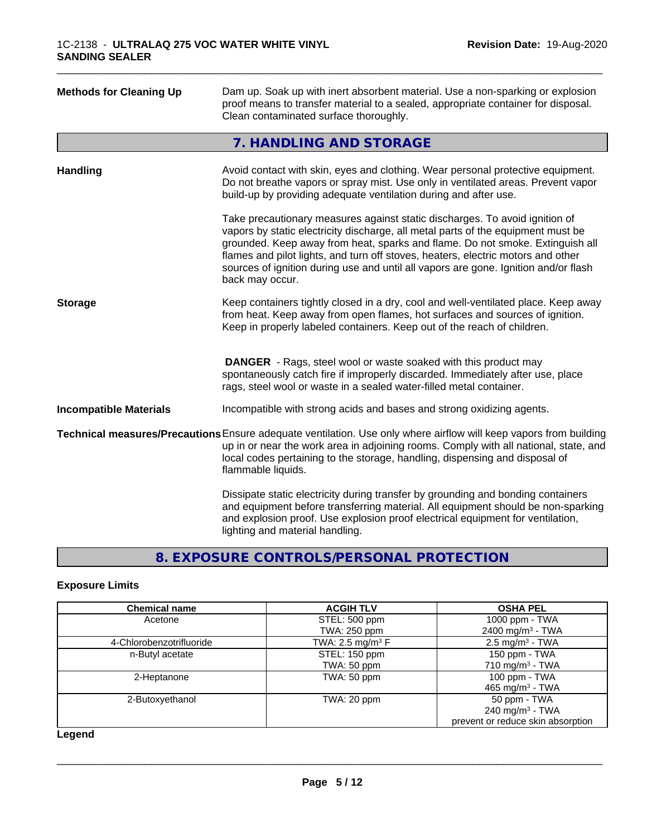| <b>Methods for Cleaning Up</b> | Dam up. Soak up with inert absorbent material. Use a non-sparking or explosion<br>proof means to transfer material to a sealed, appropriate container for disposal.<br>Clean contaminated surface thoroughly.                                                                                                                                                                                                                                  |
|--------------------------------|------------------------------------------------------------------------------------------------------------------------------------------------------------------------------------------------------------------------------------------------------------------------------------------------------------------------------------------------------------------------------------------------------------------------------------------------|
|                                | 7. HANDLING AND STORAGE                                                                                                                                                                                                                                                                                                                                                                                                                        |
| <b>Handling</b>                | Avoid contact with skin, eyes and clothing. Wear personal protective equipment.<br>Do not breathe vapors or spray mist. Use only in ventilated areas. Prevent vapor<br>build-up by providing adequate ventilation during and after use.                                                                                                                                                                                                        |
|                                | Take precautionary measures against static discharges. To avoid ignition of<br>vapors by static electricity discharge, all metal parts of the equipment must be<br>grounded. Keep away from heat, sparks and flame. Do not smoke. Extinguish all<br>flames and pilot lights, and turn off stoves, heaters, electric motors and other<br>sources of ignition during use and until all vapors are gone. Ignition and/or flash<br>back may occur. |
| <b>Storage</b>                 | Keep containers tightly closed in a dry, cool and well-ventilated place. Keep away<br>from heat. Keep away from open flames, hot surfaces and sources of ignition.<br>Keep in properly labeled containers. Keep out of the reach of children.                                                                                                                                                                                                  |
|                                | <b>DANGER</b> - Rags, steel wool or waste soaked with this product may<br>spontaneously catch fire if improperly discarded. Immediately after use, place<br>rags, steel wool or waste in a sealed water-filled metal container.                                                                                                                                                                                                                |
| <b>Incompatible Materials</b>  | Incompatible with strong acids and bases and strong oxidizing agents.                                                                                                                                                                                                                                                                                                                                                                          |
|                                | Technical measures/Precautions Ensure adequate ventilation. Use only where airflow will keep vapors from building<br>up in or near the work area in adjoining rooms. Comply with all national, state, and<br>local codes pertaining to the storage, handling, dispensing and disposal of<br>flammable liquids.                                                                                                                                 |
|                                | Dissipate static electricity during transfer by grounding and bonding containers<br>and equipment before transferring material. All equipment should be non-sparking<br>and explosion proof. Use explosion proof electrical equipment for ventilation,<br>lighting and material handling.                                                                                                                                                      |

#### **8. EXPOSURE CONTROLS/PERSONAL PROTECTION**

#### **Exposure Limits**

| <b>Chemical name</b>     | <b>ACGIH TLV</b>            | <b>OSHA PEL</b>                   |
|--------------------------|-----------------------------|-----------------------------------|
| Acetone                  | STEL: 500 ppm               | 1000 ppm - TWA                    |
|                          | TWA: 250 ppm                | 2400 mg/m <sup>3</sup> - TWA      |
| 4-Chlorobenzotrifluoride | TWA: $2.5 \text{ mg/m}^3$ F | $2.5 \text{ mg/m}^3$ - TWA        |
| n-Butyl acetate          | STEL: 150 ppm               | 150 ppm - TWA                     |
|                          | TWA: 50 ppm                 | 710 mg/m $3$ - TWA                |
| 2-Heptanone              | TWA: 50 ppm                 | 100 ppm - TWA                     |
|                          |                             | 465 mg/m <sup>3</sup> - TWA       |
| 2-Butoxyethanol          | TWA: 20 ppm                 | 50 ppm - TWA                      |
|                          |                             | 240 mg/m <sup>3</sup> - TWA       |
|                          |                             | prevent or reduce skin absorption |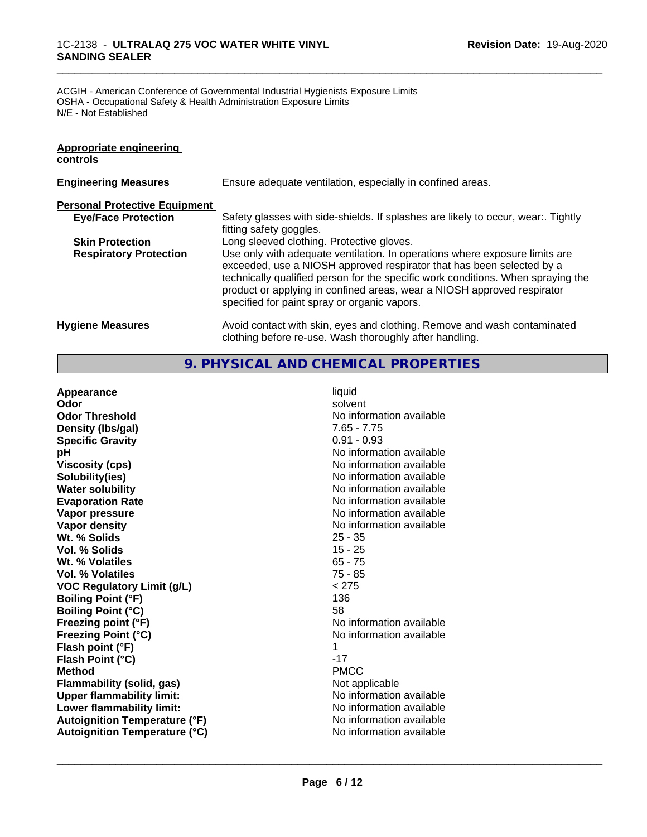#### 1C-2138 - **ULTRALAQ 275 VOC WATER WHITE VINYL SANDING SEALER**

ACGIH - American Conference of Governmental Industrial Hygienists Exposure Limits OSHA - Occupational Safety & Health Administration Exposure Limits N/E - Not Established

| <b>Appropriate engineering</b><br>controls |                                                                                                                                                                                                                                                                                                                                                                     |
|--------------------------------------------|---------------------------------------------------------------------------------------------------------------------------------------------------------------------------------------------------------------------------------------------------------------------------------------------------------------------------------------------------------------------|
| <b>Engineering Measures</b>                | Ensure adequate ventilation, especially in confined areas.                                                                                                                                                                                                                                                                                                          |
| <b>Personal Protective Equipment</b>       |                                                                                                                                                                                                                                                                                                                                                                     |
| <b>Eye/Face Protection</b>                 | Safety glasses with side-shields. If splashes are likely to occur, wear Tightly<br>fitting safety goggles.                                                                                                                                                                                                                                                          |
| <b>Skin Protection</b>                     | Long sleeved clothing. Protective gloves.                                                                                                                                                                                                                                                                                                                           |
| <b>Respiratory Protection</b>              | Use only with adequate ventilation. In operations where exposure limits are<br>exceeded, use a NIOSH approved respirator that has been selected by a<br>technically qualified person for the specific work conditions. When spraying the<br>product or applying in confined areas, wear a NIOSH approved respirator<br>specified for paint spray or organic vapors. |
| <b>Hygiene Measures</b>                    | Avoid contact with skin, eyes and clothing. Remove and wash contaminated<br>clothing before re-use. Wash thoroughly after handling.                                                                                                                                                                                                                                 |

\_\_\_\_\_\_\_\_\_\_\_\_\_\_\_\_\_\_\_\_\_\_\_\_\_\_\_\_\_\_\_\_\_\_\_\_\_\_\_\_\_\_\_\_\_\_\_\_\_\_\_\_\_\_\_\_\_\_\_\_\_\_\_\_\_\_\_\_\_\_\_\_\_\_\_\_\_\_\_\_\_\_\_\_\_\_\_\_\_\_\_\_\_

#### **9. PHYSICAL AND CHEMICAL PROPERTIES**

| Appearance                           | liquid                   |
|--------------------------------------|--------------------------|
| Odor                                 | solvent                  |
| <b>Odor Threshold</b>                | No information available |
| Density (Ibs/gal)                    | $7.65 - 7.75$            |
| <b>Specific Gravity</b>              | $0.91 - 0.93$            |
| рH                                   | No information available |
| <b>Viscosity (cps)</b>               | No information available |
| Solubility(ies)                      | No information available |
| <b>Water solubility</b>              | No information available |
| <b>Evaporation Rate</b>              | No information available |
| Vapor pressure                       | No information available |
| Vapor density                        | No information available |
| Wt. % Solids                         | $25 - 35$                |
| Vol. % Solids                        | $15 - 25$                |
| Wt. % Volatiles                      | $65 - 75$                |
| Vol. % Volatiles                     | $75 - 85$                |
| <b>VOC Regulatory Limit (g/L)</b>    | < 275                    |
| <b>Boiling Point (°F)</b>            | 136                      |
| <b>Boiling Point (°C)</b>            | 58                       |
| Freezing point (°F)                  | No information available |
| <b>Freezing Point (°C)</b>           | No information available |
| Flash point (°F)                     | 1                        |
| Flash Point (°C)                     | $-17$                    |
| <b>Method</b>                        | <b>PMCC</b>              |
| <b>Flammability (solid, gas)</b>     | Not applicable           |
| <b>Upper flammability limit:</b>     | No information available |
| Lower flammability limit:            | No information available |
| <b>Autoignition Temperature (°F)</b> | No information available |
| <b>Autoignition Temperature (°C)</b> | No information available |
|                                      |                          |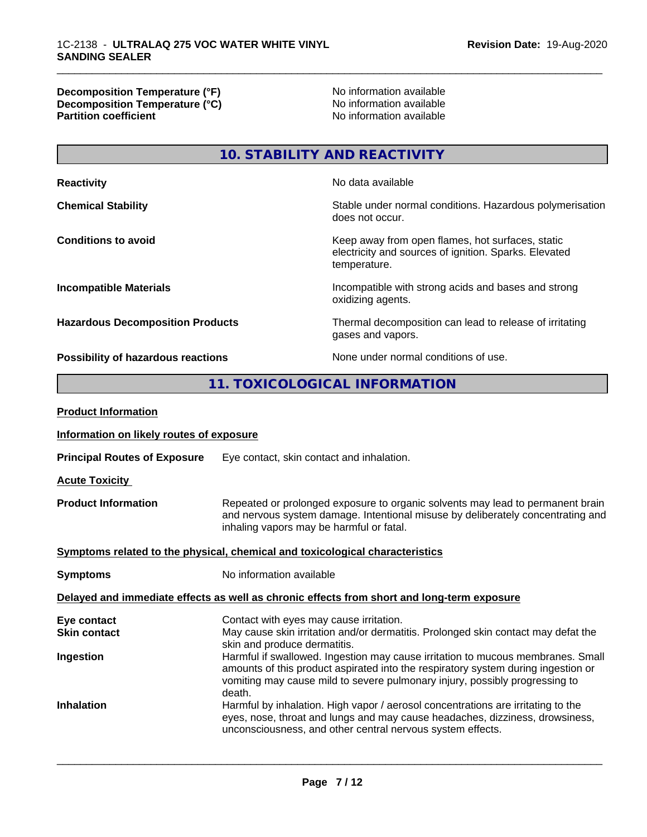**Decomposition Temperature (°F)** No information available **Decomposition Temperature (°C)** No information available **Partition coefficient** 

\_\_\_\_\_\_\_\_\_\_\_\_\_\_\_\_\_\_\_\_\_\_\_\_\_\_\_\_\_\_\_\_\_\_\_\_\_\_\_\_\_\_\_\_\_\_\_\_\_\_\_\_\_\_\_\_\_\_\_\_\_\_\_\_\_\_\_\_\_\_\_\_\_\_\_\_\_\_\_\_\_\_\_\_\_\_\_\_\_\_\_\_\_

**10. STABILITY AND REACTIVITY**

| <b>Reactivity</b>                       | No data available                                                                                                         |
|-----------------------------------------|---------------------------------------------------------------------------------------------------------------------------|
| <b>Chemical Stability</b>               | Stable under normal conditions. Hazardous polymerisation<br>does not occur.                                               |
| <b>Conditions to avoid</b>              | Keep away from open flames, hot surfaces, static<br>electricity and sources of ignition. Sparks. Elevated<br>temperature. |
| <b>Incompatible Materials</b>           | Incompatible with strong acids and bases and strong<br>oxidizing agents.                                                  |
| <b>Hazardous Decomposition Products</b> | Thermal decomposition can lead to release of irritating<br>gases and vapors.                                              |
| Possibility of hazardous reactions      | None under normal conditions of use.                                                                                      |

#### **11. TOXICOLOGICAL INFORMATION**

| <b>Product Information</b>                                                   |                                                                                                                                                                                                                                                               |  |
|------------------------------------------------------------------------------|---------------------------------------------------------------------------------------------------------------------------------------------------------------------------------------------------------------------------------------------------------------|--|
| Information on likely routes of exposure                                     |                                                                                                                                                                                                                                                               |  |
| <b>Principal Routes of Exposure</b>                                          | Eye contact, skin contact and inhalation.                                                                                                                                                                                                                     |  |
| <b>Acute Toxicity</b>                                                        |                                                                                                                                                                                                                                                               |  |
| <b>Product Information</b>                                                   | Repeated or prolonged exposure to organic solvents may lead to permanent brain<br>and nervous system damage. Intentional misuse by deliberately concentrating and<br>inhaling vapors may be harmful or fatal.                                                 |  |
| Symptoms related to the physical, chemical and toxicological characteristics |                                                                                                                                                                                                                                                               |  |
| <b>Symptoms</b>                                                              | No information available                                                                                                                                                                                                                                      |  |
|                                                                              | Delayed and immediate effects as well as chronic effects from short and long-term exposure                                                                                                                                                                    |  |
| Eye contact<br><b>Skin contact</b>                                           | Contact with eyes may cause irritation.<br>May cause skin irritation and/or dermatitis. Prolonged skin contact may defat the<br>skin and produce dermatitis.                                                                                                  |  |
| Ingestion                                                                    | Harmful if swallowed. Ingestion may cause irritation to mucous membranes. Small<br>amounts of this product aspirated into the respiratory system during ingestion or<br>vomiting may cause mild to severe pulmonary injury, possibly progressing to<br>death. |  |
| <b>Inhalation</b>                                                            | Harmful by inhalation. High vapor / aerosol concentrations are irritating to the<br>eyes, nose, throat and lungs and may cause headaches, dizziness, drowsiness,<br>unconsciousness, and other central nervous system effects.                                |  |
|                                                                              |                                                                                                                                                                                                                                                               |  |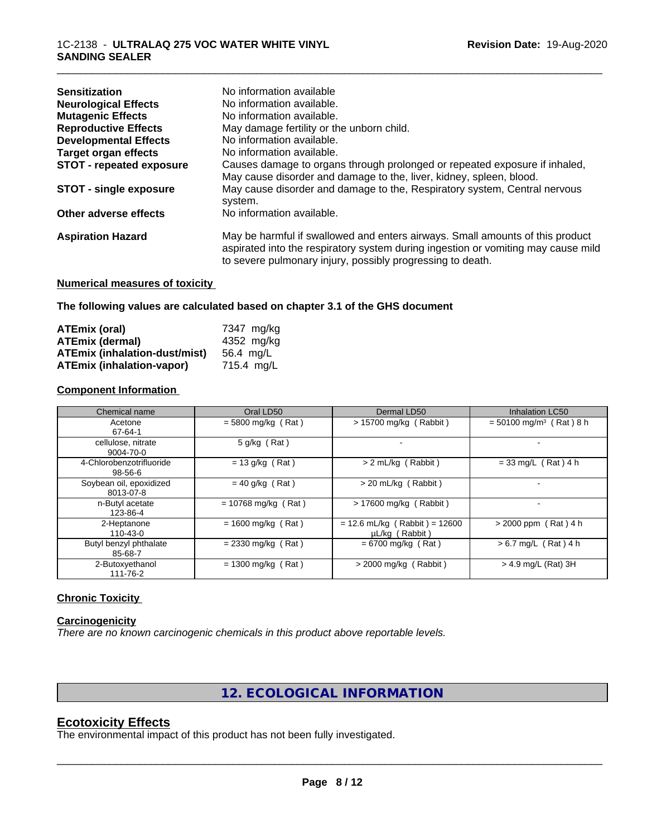| <b>Sensitization</b>            | No information available                                                                                                                                                                                                         |
|---------------------------------|----------------------------------------------------------------------------------------------------------------------------------------------------------------------------------------------------------------------------------|
| <b>Neurological Effects</b>     | No information available.                                                                                                                                                                                                        |
| <b>Mutagenic Effects</b>        | No information available.                                                                                                                                                                                                        |
| <b>Reproductive Effects</b>     | May damage fertility or the unborn child.                                                                                                                                                                                        |
| <b>Developmental Effects</b>    | No information available.                                                                                                                                                                                                        |
| <b>Target organ effects</b>     | No information available.                                                                                                                                                                                                        |
| <b>STOT - repeated exposure</b> | Causes damage to organs through prolonged or repeated exposure if inhaled,                                                                                                                                                       |
|                                 | May cause disorder and damage to the, liver, kidney, spleen, blood.                                                                                                                                                              |
| <b>STOT - single exposure</b>   | May cause disorder and damage to the, Respiratory system, Central nervous<br>system.                                                                                                                                             |
| Other adverse effects           | No information available.                                                                                                                                                                                                        |
| <b>Aspiration Hazard</b>        | May be harmful if swallowed and enters airways. Small amounts of this product<br>aspirated into the respiratory system during ingestion or vomiting may cause mild<br>to severe pulmonary injury, possibly progressing to death. |
|                                 |                                                                                                                                                                                                                                  |

\_\_\_\_\_\_\_\_\_\_\_\_\_\_\_\_\_\_\_\_\_\_\_\_\_\_\_\_\_\_\_\_\_\_\_\_\_\_\_\_\_\_\_\_\_\_\_\_\_\_\_\_\_\_\_\_\_\_\_\_\_\_\_\_\_\_\_\_\_\_\_\_\_\_\_\_\_\_\_\_\_\_\_\_\_\_\_\_\_\_\_\_\_

#### **Numerical measures of toxicity**

**The following values are calculated based on chapter 3.1 of the GHS document**

| ATEmix (oral)                        | 7347 mg/ka |
|--------------------------------------|------------|
| <b>ATEmix (dermal)</b>               | 4352 mg/kg |
| <b>ATEmix (inhalation-dust/mist)</b> | 56.4 ma/L  |
| <b>ATEmix (inhalation-vapor)</b>     | 715.4 ma/L |

#### **Component Information**

| Chemical name                        | Oral LD50             | Dermal LD50                                       | <b>Inhalation LC50</b>                |
|--------------------------------------|-----------------------|---------------------------------------------------|---------------------------------------|
| Acetone<br>67-64-1                   | $= 5800$ mg/kg (Rat)  | $> 15700$ mg/kg (Rabbit)                          | $= 50100$ mg/m <sup>3</sup> (Rat) 8 h |
| cellulose, nitrate<br>9004-70-0      | $5$ g/kg (Rat)        |                                                   |                                       |
| 4-Chlorobenzotrifluoride<br>98-56-6  | $= 13$ g/kg (Rat)     | > 2 mL/kg (Rabbit)                                | $= 33$ mg/L (Rat) 4 h                 |
| Soybean oil, epoxidized<br>8013-07-8 | $= 40$ g/kg (Rat)     | > 20 mL/kg (Rabbit)                               |                                       |
| n-Butyl acetate<br>123-86-4          | $= 10768$ mg/kg (Rat) | > 17600 mg/kg (Rabbit)                            |                                       |
| 2-Heptanone<br>110-43-0              | $= 1600$ mg/kg (Rat)  | $= 12.6$ mL/kg (Rabbit) = 12600<br>µL/kg (Rabbit) | $> 2000$ ppm (Rat) 4 h                |
| Butyl benzyl phthalate<br>85-68-7    | $= 2330$ mg/kg (Rat)  | $= 6700$ mg/kg (Rat)                              | $> 6.7$ mg/L (Rat) 4 h                |
| 2-Butoxyethanol<br>111-76-2          | $= 1300$ mg/kg (Rat)  | $>$ 2000 mg/kg (Rabbit)                           | > 4.9 mg/L (Rat) 3H                   |

#### **Chronic Toxicity**

#### **Carcinogenicity**

*There are no known carcinogenic chemicals in this product above reportable levels.*

#### **12. ECOLOGICAL INFORMATION**

#### **Ecotoxicity Effects**

The environmental impact of this product has not been fully investigated.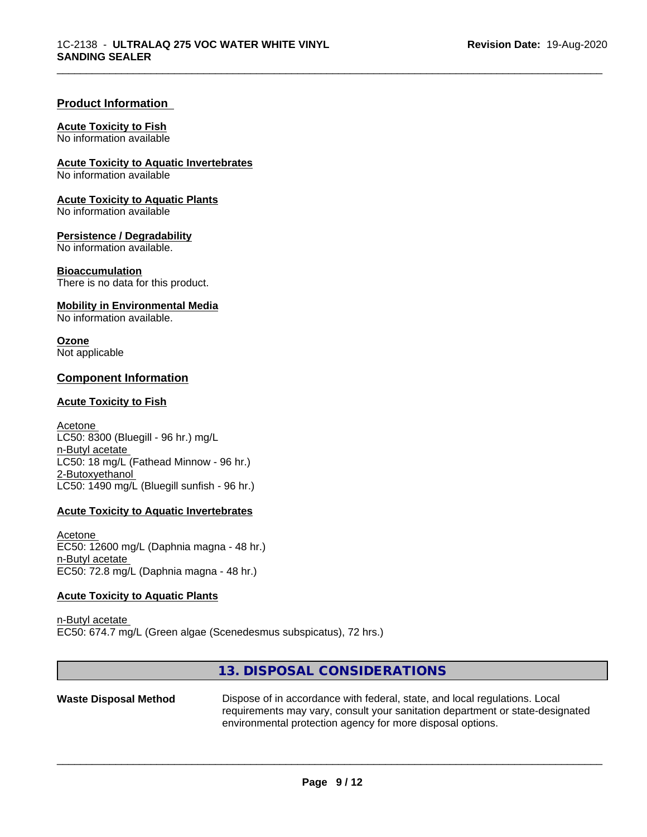#### **Product Information**

#### **Acute Toxicity to Fish**

No information available

**Acute Toxicity to Aquatic Invertebrates**

No information available

**Acute Toxicity to Aquatic Plants**

No information available

**Persistence / Degradability**

No information available.

#### **Bioaccumulation**

There is no data for this product.

#### **Mobility in Environmental Media**

No information available.

#### **Ozone**

Not applicable

#### **Component Information**

#### **Acute Toxicity to Fish**

Acetone LC50: 8300 (Bluegill - 96 hr.) mg/L n-Butyl acetate LC50: 18 mg/L (Fathead Minnow - 96 hr.) 2-Butoxyethanol LC50: 1490 mg/L (Bluegill sunfish - 96 hr.)

#### **Acute Toxicity to Aquatic Invertebrates**

Acetone EC50: 12600 mg/L (Daphnia magna - 48 hr.) n-Butyl acetate EC50: 72.8 mg/L (Daphnia magna - 48 hr.)

#### **Acute Toxicity to Aquatic Plants**

n-Butyl acetate EC50: 674.7 mg/L (Green algae (Scenedesmus subspicatus), 72 hrs.)

#### **13. DISPOSAL CONSIDERATIONS**

**Waste Disposal Method** Dispose of in accordance with federal, state, and local regulations. Local requirements may vary, consult your sanitation department or state-designated environmental protection agency for more disposal options.

 $\overline{\phantom{a}}$  ,  $\overline{\phantom{a}}$  ,  $\overline{\phantom{a}}$  ,  $\overline{\phantom{a}}$  ,  $\overline{\phantom{a}}$  ,  $\overline{\phantom{a}}$  ,  $\overline{\phantom{a}}$  ,  $\overline{\phantom{a}}$  ,  $\overline{\phantom{a}}$  ,  $\overline{\phantom{a}}$  ,  $\overline{\phantom{a}}$  ,  $\overline{\phantom{a}}$  ,  $\overline{\phantom{a}}$  ,  $\overline{\phantom{a}}$  ,  $\overline{\phantom{a}}$  ,  $\overline{\phantom{a}}$ 

\_\_\_\_\_\_\_\_\_\_\_\_\_\_\_\_\_\_\_\_\_\_\_\_\_\_\_\_\_\_\_\_\_\_\_\_\_\_\_\_\_\_\_\_\_\_\_\_\_\_\_\_\_\_\_\_\_\_\_\_\_\_\_\_\_\_\_\_\_\_\_\_\_\_\_\_\_\_\_\_\_\_\_\_\_\_\_\_\_\_\_\_\_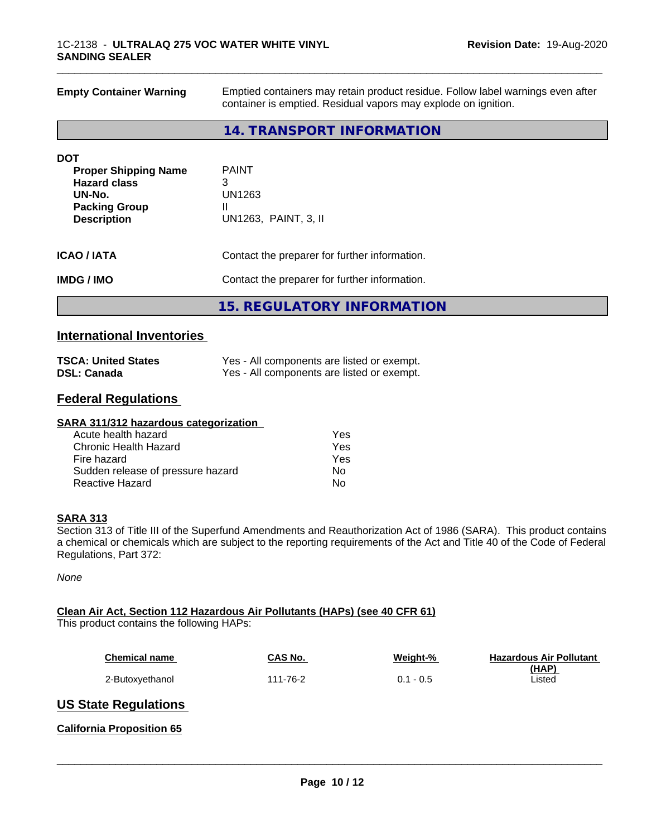| <b>Empty Container Warning</b>             | Emptied containers may retain product residue. Follow label warnings even after<br>container is emptied. Residual vapors may explode on ignition. |  |  |
|--------------------------------------------|---------------------------------------------------------------------------------------------------------------------------------------------------|--|--|
|                                            | 14. TRANSPORT INFORMATION                                                                                                                         |  |  |
| <b>DOT</b>                                 |                                                                                                                                                   |  |  |
| <b>Proper Shipping Name</b>                | <b>PAINT</b>                                                                                                                                      |  |  |
| <b>Hazard class</b>                        | 3                                                                                                                                                 |  |  |
| UN-No.                                     | <b>UN1263</b>                                                                                                                                     |  |  |
| <b>Packing Group</b><br><b>Description</b> | Ш<br>UN1263, PAINT, 3, II                                                                                                                         |  |  |
| <b>ICAO/IATA</b>                           | Contact the preparer for further information.                                                                                                     |  |  |
| <b>IMDG/IMO</b>                            | Contact the preparer for further information.                                                                                                     |  |  |
|                                            | <b>15. REGULATORY INFORMATION</b>                                                                                                                 |  |  |

\_\_\_\_\_\_\_\_\_\_\_\_\_\_\_\_\_\_\_\_\_\_\_\_\_\_\_\_\_\_\_\_\_\_\_\_\_\_\_\_\_\_\_\_\_\_\_\_\_\_\_\_\_\_\_\_\_\_\_\_\_\_\_\_\_\_\_\_\_\_\_\_\_\_\_\_\_\_\_\_\_\_\_\_\_\_\_\_\_\_\_\_\_

#### **International Inventories**

| <b>TSCA: United States</b> | Yes - All components are listed or exempt. |
|----------------------------|--------------------------------------------|
| <b>DSL: Canada</b>         | Yes - All components are listed or exempt. |

### **Federal Regulations**

| SARA 311/312 hazardous categorization |     |  |
|---------------------------------------|-----|--|
| Acute health hazard                   | Yes |  |
| Chronic Health Hazard                 | Yes |  |
| Fire hazard                           | Yes |  |
| Sudden release of pressure hazard     | No  |  |
| Reactive Hazard                       | No  |  |

#### **SARA 313**

Section 313 of Title III of the Superfund Amendments and Reauthorization Act of 1986 (SARA). This product contains a chemical or chemicals which are subject to the reporting requirements of the Act and Title 40 of the Code of Federal Regulations, Part 372:

*None*

#### **Clean Air Act,Section 112 Hazardous Air Pollutants (HAPs) (see 40 CFR 61)**

This product contains the following HAPs:

| <b>Chemical name</b> | CAS No.  | Weight-%    | <b>Hazardous Air Pollutant</b> |
|----------------------|----------|-------------|--------------------------------|
|                      |          |             | (HAP)                          |
| 2-Butoxyethanol      | 111-76-2 | $0.1 - 0.5$ | ∟isted                         |

 $\overline{\phantom{a}}$  ,  $\overline{\phantom{a}}$  ,  $\overline{\phantom{a}}$  ,  $\overline{\phantom{a}}$  ,  $\overline{\phantom{a}}$  ,  $\overline{\phantom{a}}$  ,  $\overline{\phantom{a}}$  ,  $\overline{\phantom{a}}$  ,  $\overline{\phantom{a}}$  ,  $\overline{\phantom{a}}$  ,  $\overline{\phantom{a}}$  ,  $\overline{\phantom{a}}$  ,  $\overline{\phantom{a}}$  ,  $\overline{\phantom{a}}$  ,  $\overline{\phantom{a}}$  ,  $\overline{\phantom{a}}$ 

#### **US State Regulations**

**California Proposition 65**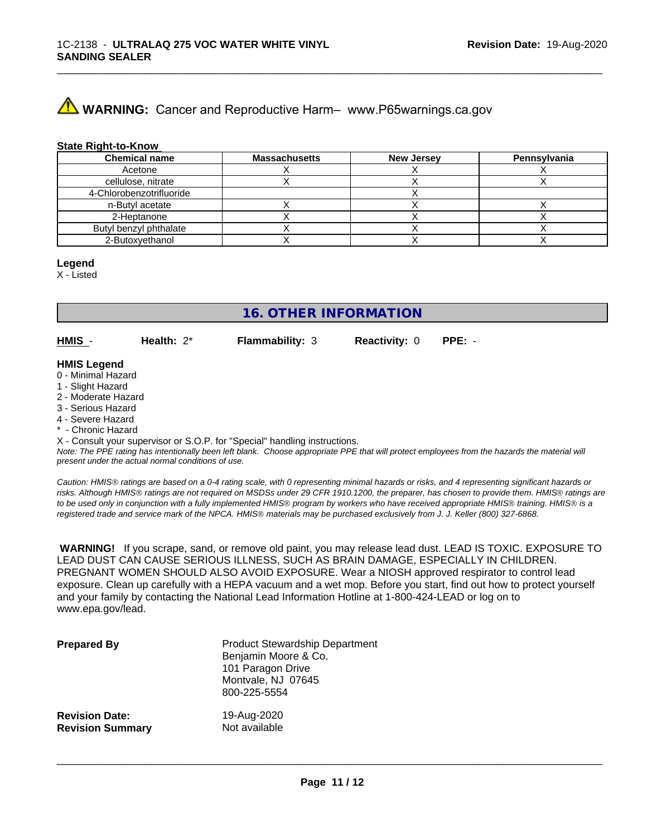## **A** WARNING: Cancer and Reproductive Harm– www.P65warnings.ca.gov

#### **State Right-to-Know**

| <b>Chemical name</b>     | <b>Massachusetts</b> | <b>New Jersey</b> | Pennsylvania |
|--------------------------|----------------------|-------------------|--------------|
| Acetone                  |                      |                   |              |
| cellulose, nitrate       |                      |                   |              |
| 4-Chlorobenzotrifluoride |                      |                   |              |
| n-Butyl acetate          |                      |                   |              |
| 2-Heptanone              |                      |                   |              |
| Butyl benzyl phthalate   |                      |                   |              |
| 2-Butoxyethanol          |                      |                   |              |

#### **Legend**

X - Listed

**16. OTHER INFORMATION**

**HMIS** - **Health:** 2\* **Flammability:** 3 **Reactivity:** 0 **PPE:** -

\_\_\_\_\_\_\_\_\_\_\_\_\_\_\_\_\_\_\_\_\_\_\_\_\_\_\_\_\_\_\_\_\_\_\_\_\_\_\_\_\_\_\_\_\_\_\_\_\_\_\_\_\_\_\_\_\_\_\_\_\_\_\_\_\_\_\_\_\_\_\_\_\_\_\_\_\_\_\_\_\_\_\_\_\_\_\_\_\_\_\_\_\_

#### **HMIS Legend**

- 0 Minimal Hazard
- 1 Slight Hazard
- 2 Moderate Hazard
- 3 Serious Hazard
- 4 Severe Hazard
- Chronic Hazard

X - Consult your supervisor or S.O.P. for "Special" handling instructions.

*Note: The PPE rating has intentionally been left blank. Choose appropriate PPE that will protect employees from the hazards the material will present under the actual normal conditions of use.*

*Caution: HMISÒ ratings are based on a 0-4 rating scale, with 0 representing minimal hazards or risks, and 4 representing significant hazards or risks. Although HMISÒ ratings are not required on MSDSs under 29 CFR 1910.1200, the preparer, has chosen to provide them. HMISÒ ratings are to be used only in conjunction with a fully implemented HMISÒ program by workers who have received appropriate HMISÒ training. HMISÒ is a registered trade and service mark of the NPCA. HMISÒ materials may be purchased exclusively from J. J. Keller (800) 327-6868.*

 **WARNING!** If you scrape, sand, or remove old paint, you may release lead dust. LEAD IS TOXIC. EXPOSURE TO LEAD DUST CAN CAUSE SERIOUS ILLNESS, SUCH AS BRAIN DAMAGE, ESPECIALLY IN CHILDREN. PREGNANT WOMEN SHOULD ALSO AVOID EXPOSURE.Wear a NIOSH approved respirator to control lead exposure. Clean up carefully with a HEPA vacuum and a wet mop. Before you start, find out how to protect yourself and your family by contacting the National Lead Information Hotline at 1-800-424-LEAD or log on to www.epa.gov/lead.

| <b>Prepared By</b>      | <b>Product Stewardship Department</b><br>Benjamin Moore & Co.<br>101 Paragon Drive<br>Montvale, NJ 07645<br>800-225-5554 |
|-------------------------|--------------------------------------------------------------------------------------------------------------------------|
| <b>Revision Date:</b>   | 19-Aug-2020                                                                                                              |
| <b>Revision Summary</b> | Not available                                                                                                            |